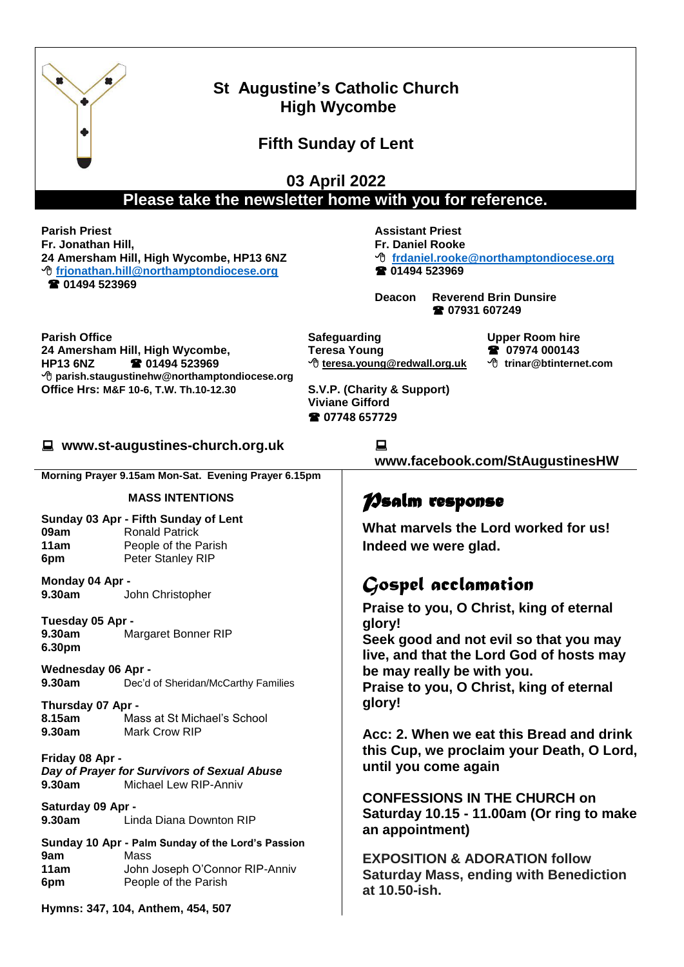| <b>St Augustine's Catholic Church</b><br><b>High Wycombe</b><br><b>Fifth Sunday of Lent</b>                                                                                                    |                                                                                                                     |                                                                                                                                                                                                             |                                                                                                                                                                                                                                             |                                               |
|------------------------------------------------------------------------------------------------------------------------------------------------------------------------------------------------|---------------------------------------------------------------------------------------------------------------------|-------------------------------------------------------------------------------------------------------------------------------------------------------------------------------------------------------------|---------------------------------------------------------------------------------------------------------------------------------------------------------------------------------------------------------------------------------------------|-----------------------------------------------|
| 03 April 2022<br>Please take the newsletter home with you for reference.                                                                                                                       |                                                                                                                     |                                                                                                                                                                                                             |                                                                                                                                                                                                                                             |                                               |
| <b>Parish Priest</b><br>Fr. Jonathan Hill,<br>24 Amersham Hill, High Wycombe, HP13 6NZ<br><sup>t</sup> frjonathan.hill@northamptondiocese.org<br>☎ 01494 523969                                |                                                                                                                     | <b>Assistant Priest</b><br><b>Fr. Daniel Rooke</b><br><sup>t</sup> frdaniel.rooke@northamptondiocese.org<br><b>2</b> 01494 523969<br><b>Reverend Brin Dunsire</b><br><b>Deacon</b><br><b>2</b> 07931 607249 |                                                                                                                                                                                                                                             |                                               |
| <b>Parish Office</b><br>24 Amersham Hill, High Wycombe,<br><b>2</b> 01494 523969<br><b>HP13 6NZ</b><br>→ parish.staugustinehw@northamptondiocese.org<br>Office Hrs: M&F 10-6, T.W. Th.10-12.30 |                                                                                                                     |                                                                                                                                                                                                             | Safeguarding<br><b>Upper Room hire</b><br>2 07974 000143<br><b>Teresa Young</b><br><sup>•</sup> teresa.young@redwall.org.uk<br><sup>t</sup> trinar@btinternet.com<br>S.V.P. (Charity & Support)<br><b>Viviane Gifford</b><br>☎ 07748 657729 |                                               |
| ■ www.st-augustines-church.org.uk                                                                                                                                                              |                                                                                                                     |                                                                                                                                                                                                             | 旦<br>www.facebook.com/StAugustinesHW                                                                                                                                                                                                        |                                               |
|                                                                                                                                                                                                | Morning Prayer 9.15am Mon-Sat. Evening Prayer 6.15pm                                                                |                                                                                                                                                                                                             |                                                                                                                                                                                                                                             |                                               |
| <b>MASS INTENTIONS</b>                                                                                                                                                                         |                                                                                                                     |                                                                                                                                                                                                             | <b>Nealm</b> response                                                                                                                                                                                                                       |                                               |
| Sunday 03 Apr - Fifth Sunday of Lent<br>09am<br><b>Ronald Patrick</b><br>11am<br>People of the Parish<br>Peter Stanley RIP<br>6pm                                                              |                                                                                                                     |                                                                                                                                                                                                             | What marvels the Lord worked for us!<br>Indeed we were glad.                                                                                                                                                                                |                                               |
| Monday 04 Apr -<br>9.30am<br>John Christopher                                                                                                                                                  |                                                                                                                     |                                                                                                                                                                                                             | Gospel acclamation                                                                                                                                                                                                                          |                                               |
| Tuesday 05 Apr -<br>9.30am<br>Margaret Bonner RIP<br>6.30pm<br><b>Wednesday 06 Apr -</b><br>9.30am<br>Dec'd of Sheridan/McCarthy Families                                                      |                                                                                                                     |                                                                                                                                                                                                             | Praise to you, O Christ, king of eternal<br>glory!<br>Seek good and not evil so that you may<br>live, and that the Lord God of hosts may<br>be may really be with you.<br>Praise to you, O Christ, king of eternal                          |                                               |
| Thursday 07 Apr -<br>8.15am<br>9.30am                                                                                                                                                          | Mass at St Michael's School<br>Mark Crow RIP                                                                        |                                                                                                                                                                                                             | glory!                                                                                                                                                                                                                                      |                                               |
| Friday 08 Apr -<br>Day of Prayer for Survivors of Sexual Abuse<br>Michael Lew RIP-Anniv<br>9.30am                                                                                              |                                                                                                                     |                                                                                                                                                                                                             | Acc: 2. When we eat this Bread and drink<br>this Cup, we proclaim your Death, O Lord,<br>until you come again                                                                                                                               |                                               |
| Saturday 09 Apr -<br>9.30am<br>Linda Diana Downton RIP                                                                                                                                         |                                                                                                                     |                                                                                                                                                                                                             | <b>CONFESSIONS IN THE CHURCH on</b><br>Saturday 10.15 - 11.00am (Or ring to make<br>an appointment)                                                                                                                                         |                                               |
| 9am<br>11am<br>6pm                                                                                                                                                                             | Sunday 10 Apr - Palm Sunday of the Lord's Passion<br>Mass<br>John Joseph O'Connor RIP-Anniv<br>People of the Parish |                                                                                                                                                                                                             | <b>EXPOSITION &amp; ADORATION follow</b><br>at 10.50-ish.                                                                                                                                                                                   | <b>Saturday Mass, ending with Benediction</b> |
|                                                                                                                                                                                                | Hymns: 347, 104, Anthem, 454, 507                                                                                   |                                                                                                                                                                                                             |                                                                                                                                                                                                                                             |                                               |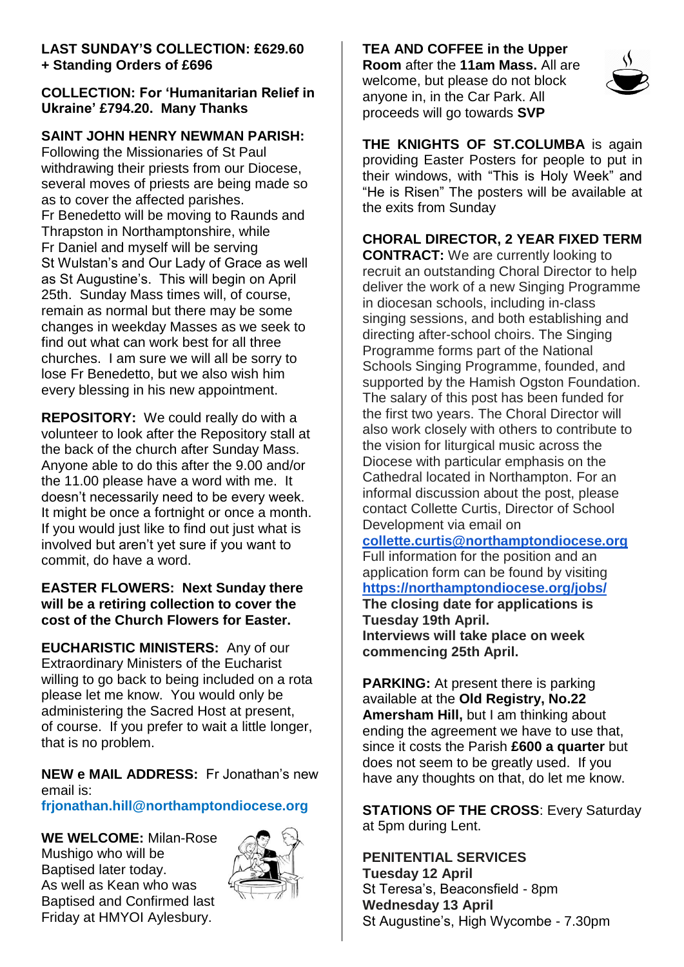#### **LAST SUNDAY'S COLLECTION: £629.60 + Standing Orders of £696**

## **COLLECTION: For 'Humanitarian Relief in Ukraine' £794.20. Many Thanks**

## **SAINT JOHN HENRY NEWMAN PARISH:**

Following the Missionaries of St Paul withdrawing their priests from our Diocese, several moves of priests are being made so as to cover the affected parishes. Fr Benedetto will be moving to Raunds and Thrapston in Northamptonshire, while Fr Daniel and myself will be serving St Wulstan's and Our Lady of Grace as well as St Augustine's. This will begin on April 25th. Sunday Mass times will, of course, remain as normal but there may be some changes in weekday Masses as we seek to find out what can work best for all three churches. I am sure we will all be sorry to lose Fr Benedetto, but we also wish him every blessing in his new appointment.

**REPOSITORY:** We could really do with a volunteer to look after the Repository stall at the back of the church after Sunday Mass. Anyone able to do this after the 9.00 and/or the 11.00 please have a word with me. It doesn't necessarily need to be every week. It might be once a fortnight or once a month. If you would just like to find out just what is involved but aren't yet sure if you want to commit, do have a word.

#### **EASTER FLOWERS: Next Sunday there will be a retiring collection to cover the cost of the Church Flowers for Easter.**

**EUCHARISTIC MINISTERS:** Any of our Extraordinary Ministers of the Eucharist willing to go back to being included on a rota please let me know. You would only be administering the Sacred Host at present, of course. If you prefer to wait a little longer, that is no problem.

**NEW e MAIL ADDRESS:** Fr Jonathan's new email is:

**frjonathan.hill@northamptondiocese.org**

**WE WELCOME:** Milan-Rose Mushigo who will be Baptised later today. As well as Kean who was Baptised and Confirmed last Friday at HMYOI Aylesbury.



**TEA AND COFFEE in the Upper Room** after the **11am Mass.** All are welcome, but please do not block anyone in, in the Car Park. All proceeds will go towards **SVP**



**THE KNIGHTS OF ST.COLUMBA** is again providing Easter Posters for people to put in their windows, with "This is Holy Week" and "He is Risen" The posters will be available at the exits from Sunday

**CHORAL DIRECTOR, 2 YEAR FIXED TERM** 

**CONTRACT:** We are currently looking to recruit an outstanding Choral Director to help deliver the work of a new Singing Programme in diocesan schools, including in-class singing sessions, and both establishing and directing after-school choirs. The Singing Programme forms part of the National Schools Singing Programme, founded, and supported by the Hamish Ogston Foundation. The salary of this post has been funded for the first two years. The Choral Director will also work closely with others to contribute to the vision for liturgical music across the Diocese with particular emphasis on the Cathedral located in Northampton. For an informal discussion about the post, please contact Collette Curtis, Director of School Development via email on

**[collette.curtis@northamptondiocese.org](mailto:collette.curtis@northamptondiocese.org)** Full information for the position and an application form can be found by visiting **[https://northamptondiocese.org/jobs/](https://gbr01.safelinks.protection.outlook.com/?url=https%3A%2F%2Fnorthamptondiocese.org%2Fjobs%2F&data=04%7C01%7CHRAdmin%40northamptondiocese.com%7Cdf0aaf0f0af749330b9308d97798a628%7Ce9ac7f11de424aa3be33af9bb297480f%7C0%7C0%7C637672319760192061%7CUnknown%7CTWFpbGZsb3d8eyJWIjoiMC4wLjAwMDAiLCJQIjoiV2luMzIiLCJBTiI6Ik1haWwiLCJXVCI6Mn0%3D%7C1000&sdata=J8Ea5eNvlJeQNn6pWQ10DYchsPLYKdDSXW5p53cUJtk%3D&reserved=0) The closing date for applications is Tuesday 19th April. Interviews will take place on week commencing 25th April.**

**PARKING:** At present there is parking available at the **Old Registry, No.22 Amersham Hill,** but I am thinking about ending the agreement we have to use that, since it costs the Parish **£600 a quarter** but does not seem to be greatly used. If you have any thoughts on that, do let me know.

**STATIONS OF THE CROSS**: Every Saturday at 5pm during Lent.

#### **PENITENTIAL SERVICES Tuesday 12 April**  St Teresa's, Beaconsfield - 8pm **Wednesday 13 April** St Augustine's, High Wycombe - 7.30pm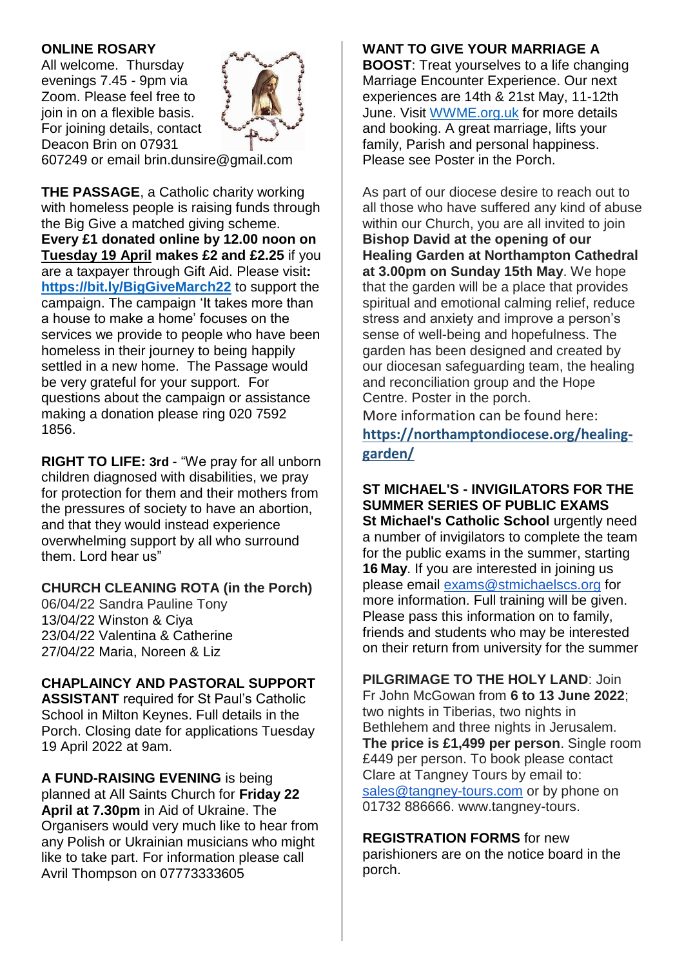#### **ONLINE ROSARY**

All welcome. Thursday evenings 7.45 - 9pm via Zoom. Please feel free to join in on a flexible basis. For joining details, contact Deacon Brin on 07931



607249 or email brin.dunsire@gmail.com

**THE PASSAGE**, a Catholic charity working with homeless people is raising funds through the Big Give a matched giving scheme. **Every £1 donated online by 12.00 noon on Tuesday 19 April makes £2 and £2.25** if you are a taxpayer through Gift Aid. Please visit**: <https://bit.ly/BigGiveMarch22>** to support the campaign. The campaign 'It takes more than a house to make a home' focuses on the services we provide to people who have been homeless in their journey to being happily settled in a new home. The Passage would be very grateful for your support. For questions about the campaign or assistance making a donation please ring 020 7592 1856.

**RIGHT TO LIFE: 3rd** - "We pray for all unborn children diagnosed with disabilities, we pray for protection for them and their mothers from the pressures of society to have an abortion, and that they would instead experience overwhelming support by all who surround them. Lord hear us"

#### **CHURCH CLEANING ROTA (in the Porch)**

06/04/22 Sandra Pauline Tony 13/04/22 Winston & Ciya 23/04/22 Valentina & Catherine 27/04/22 Maria, Noreen & Liz

## **CHAPLAINCY AND PASTORAL SUPPORT**

**ASSISTANT** required for St Paul's Catholic School in Milton Keynes. Full details in the Porch. Closing date for applications Tuesday 19 April 2022 at 9am.

**A FUND-RAISING EVENING** is being planned at All Saints Church for **Friday 22 April at 7.30pm** in Aid of Ukraine. The Organisers would very much like to hear from any Polish or Ukrainian musicians who might like to take part. For information please call Avril Thompson on 07773333605

#### **WANT TO GIVE YOUR MARRIAGE A**

**BOOST**: Treat yourselves to a life changing Marriage Encounter Experience. Our next experiences are 14th & 21st May, 11-12th June. Visit [WWME.org.uk](http://wwme.org.uk/) for more details and booking. A great marriage, lifts your family, Parish and personal happiness. Please see Poster in the Porch.

As part of our diocese desire to reach out to all those who have suffered any kind of abuse within our Church, you are all invited to join **Bishop David at the opening of our Healing Garden at Northampton Cathedral at 3.00pm on Sunday 15th May**. We hope that the garden will be a place that provides spiritual and emotional calming relief, reduce stress and anxiety and improve a person's sense of well-being and hopefulness. The garden has been designed and created by our diocesan safeguarding team, the healing and reconciliation group and the Hope Centre. Poster in the porch.

More information can be found here: **[https://northamptondiocese.org/healing](https://northamptondiocese.org/healing-garden/)[garden/](https://northamptondiocese.org/healing-garden/)**

**ST MICHAEL'S - INVIGILATORS FOR THE SUMMER SERIES OF PUBLIC EXAMS St Michael's Catholic School** urgently need a number of invigilators to complete the team for the public exams in the summer, starting **16 May**. If you are interested in joining us please email [exams@stmichaelscs.org](mailto:exams@stmichaelscs.org) for more information. Full training will be given. Please pass this information on to family, friends and students who may be interested on their return from university for the summer

**PILGRIMAGE TO THE HOLY LAND**: Join Fr John McGowan from **6 to 13 June 2022**; two nights in Tiberias, two nights in Bethlehem and three nights in Jerusalem. **The price is £1,499 per person**. Single room £449 per person. To book please contact Clare at Tangney Tours by email to: [sales@tangney-tours.com](mailto:sales@tangney-tours.com) or by phone on 01732 886666. www.tangney-tours.

**REGISTRATION FORMS** for new parishioners are on the notice board in the porch.